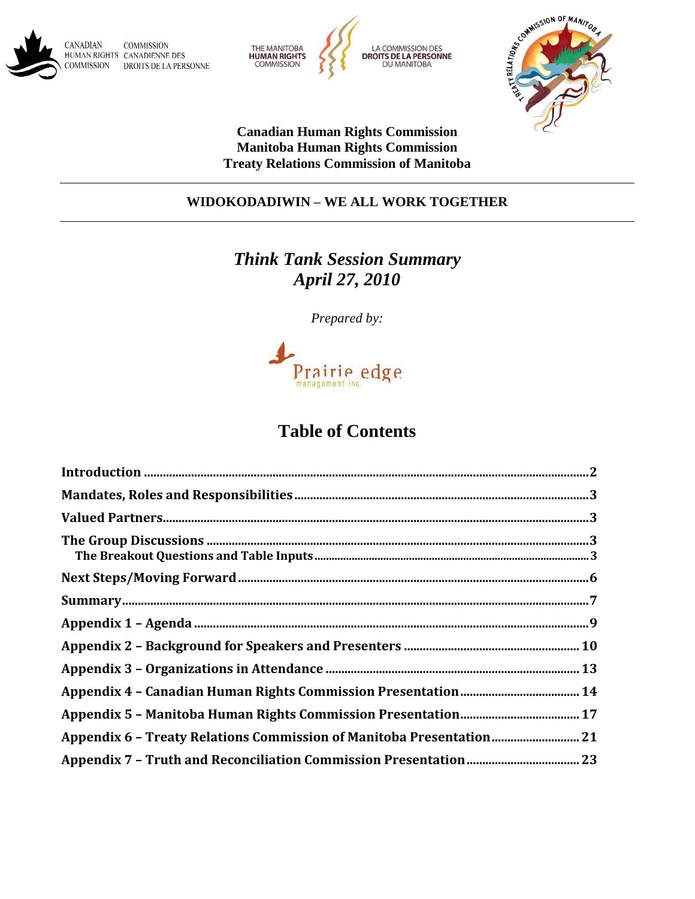





**Canadian Human Rights Commission Manitoba Human Rights Commission Treaty Relations Commission of Manitoba**

## **WIDOKODADIWIN - WE ALL WORK TOGETHER**

# *Think Tank Session Summary April 27, 2010*

*Prepared by:*



# **Table of Contents**

| Appendix 6 - Treaty Relations Commission of Manitoba Presentation 21 |
|----------------------------------------------------------------------|
|                                                                      |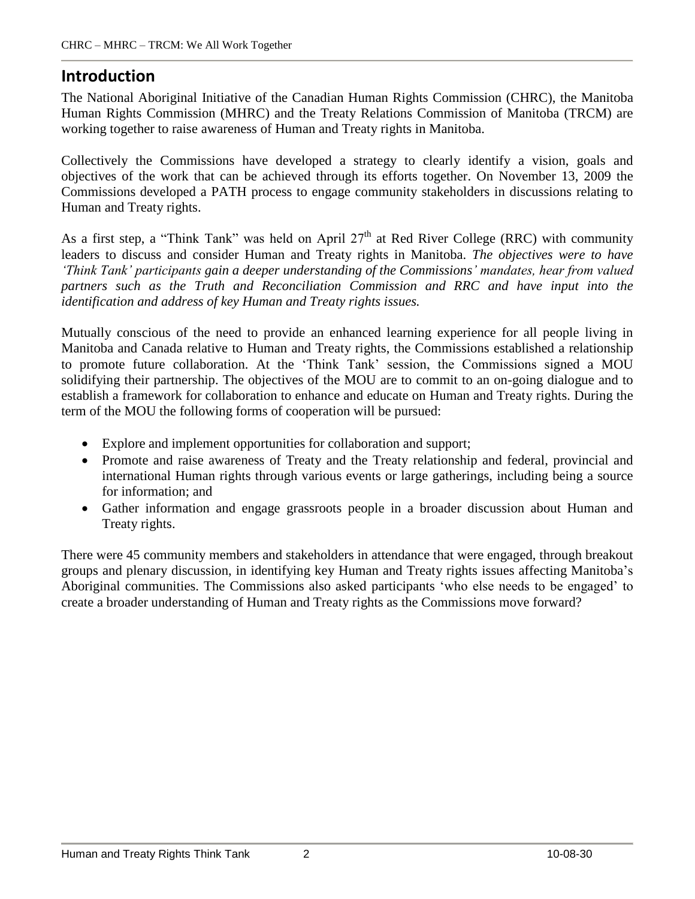# **Introduction**

The National Aboriginal Initiative of the Canadian Human Rights Commission (CHRC), the Manitoba Human Rights Commission (MHRC) and the Treaty Relations Commission of Manitoba (TRCM) are working together to raise awareness of Human and Treaty rights in Manitoba.

Collectively the Commissions have developed a strategy to clearly identify a vision, goals and objectives of the work that can be achieved through its efforts together. On November 13, 2009 the Commissions developed a PATH process to engage community stakeholders in discussions relating to Human and Treaty rights.

As a first step, a "Think Tank" was held on April  $27<sup>th</sup>$  at Red River College (RRC) with community leaders to discuss and consider Human and Treaty rights in Manitoba. *The objectives were to have ëThink Tankí participants gain a deeper understanding of the Commissionsí mandates, hear from valued partners such as the Truth and Reconciliation Commission and RRC and have input into the identification and address of key Human and Treaty rights issues.*

Mutually conscious of the need to provide an enhanced learning experience for all people living in Manitoba and Canada relative to Human and Treaty rights, the Commissions established a relationship to promote future collaboration. At the 'Think Tank' session, the Commissions signed a MOU solidifying their partnership. The objectives of the MOU are to commit to an on-going dialogue and to establish a framework for collaboration to enhance and educate on Human and Treaty rights. During the term of the MOU the following forms of cooperation will be pursued:

- Explore and implement opportunities for collaboration and support;
- Promote and raise awareness of Treaty and the Treaty relationship and federal, provincial and international Human rights through various events or large gatherings, including being a source for information; and
- Gather information and engage grassroots people in a broader discussion about Human and Treaty rights.

There were 45 community members and stakeholders in attendance that were engaged, through breakout groups and plenary discussion, in identifying key Human and Treaty rights issues affecting Manitoba's Aboriginal communities. The Commissions also asked participants 'who else needs to be engaged' to create a broader understanding of Human and Treaty rights as the Commissions move forward?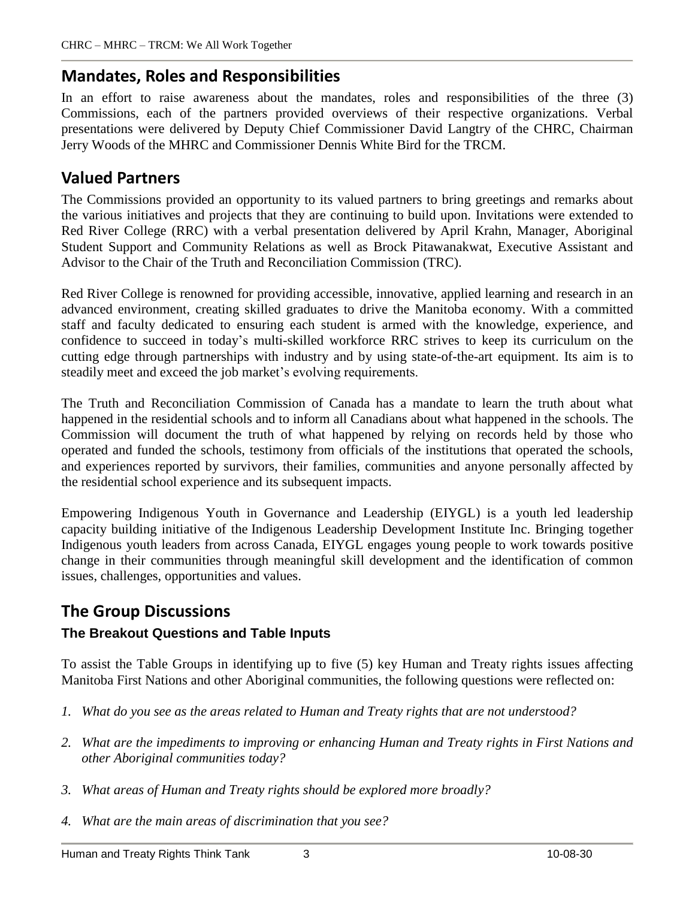# **Mandates, Roles and Responsibilities**

In an effort to raise awareness about the mandates, roles and responsibilities of the three (3) Commissions, each of the partners provided overviews of their respective organizations. Verbal presentations were delivered by Deputy Chief Commissioner David Langtry of the CHRC, Chairman Jerry Woods of the MHRC and Commissioner Dennis White Bird for the TRCM.

# **Valued Partners**

The Commissions provided an opportunity to its valued partners to bring greetings and remarks about the various initiatives and projects that they are continuing to build upon. Invitations were extended to Red River College (RRC) with a verbal presentation delivered by April Krahn, Manager, Aboriginal Student Support and Community Relations as well as Brock Pitawanakwat, Executive Assistant and Advisor to the Chair of the Truth and Reconciliation Commission (TRC).

Red River College is renowned for providing accessible, innovative, applied learning and research in an advanced environment, creating skilled graduates to drive the Manitoba economy. With a committed staff and faculty dedicated to ensuring each student is armed with the knowledge, experience, and confidence to succeed in today's multi-skilled workforce RRC strives to keep its curriculum on the cutting edge through partnerships with industry and by using state-of-the-art equipment. Its aim is to steadily meet and exceed the job market's evolving requirements.

The Truth and Reconciliation Commission of Canada has a mandate to learn the truth about what happened in the residential schools and to inform all Canadians about what happened in the schools. The Commission will document the truth of what happened by relying on records held by those who operated and funded the schools, testimony from officials of the institutions that operated the schools, and experiences reported by survivors, their families, communities and anyone personally affected by the residential school experience and its subsequent impacts.

Empowering Indigenous Youth in Governance and Leadership (EIYGL) is a youth led leadership capacity building initiative of the Indigenous Leadership Development Institute Inc. Bringing together Indigenous youth leaders from across Canada, EIYGL engages young people to work towards positive change in their communities through meaningful skill development and the identification of common issues, challenges, opportunities and values.

# **The Group Discussions**

## **The Breakout Questions and Table Inputs**

To assist the Table Groups in identifying up to five (5) key Human and Treaty rights issues affecting Manitoba First Nations and other Aboriginal communities, the following questions were reflected on:

- *1. What do you see as the areas related to Human and Treaty rights that are not understood?*
- *2. What are the impediments to improving or enhancing Human and Treaty rights in First Nations and other Aboriginal communities today?*
- *3. What areas of Human and Treaty rights should be explored more broadly?*
- *4. What are the main areas of discrimination that you see?*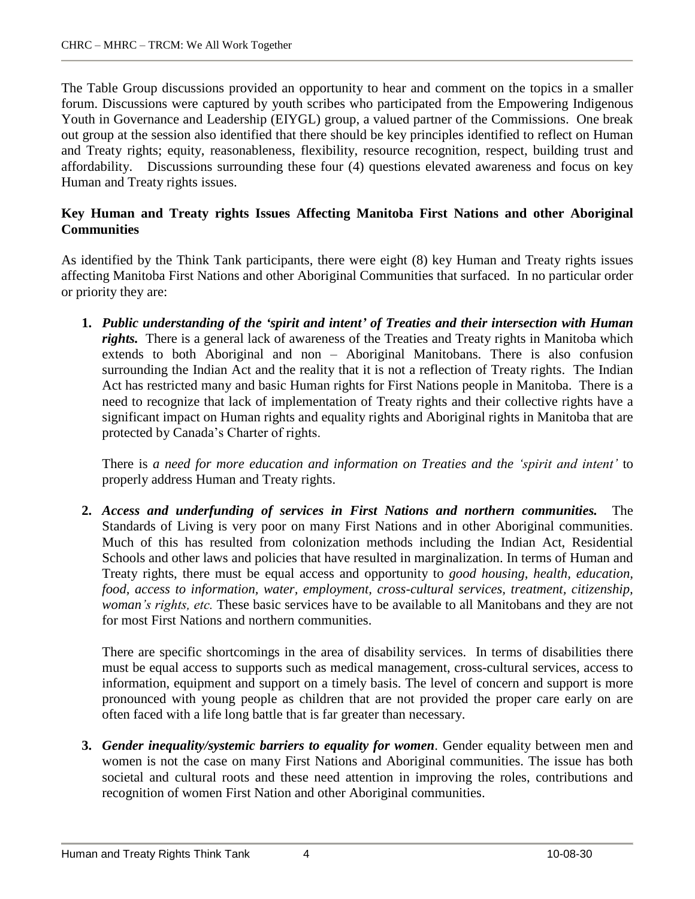The Table Group discussions provided an opportunity to hear and comment on the topics in a smaller forum. Discussions were captured by youth scribes who participated from the Empowering Indigenous Youth in Governance and Leadership (EIYGL) group, a valued partner of the Commissions. One break out group at the session also identified that there should be key principles identified to reflect on Human and Treaty rights; equity, reasonableness, flexibility, resource recognition, respect, building trust and affordability. Discussions surrounding these four (4) questions elevated awareness and focus on key Human and Treaty rights issues.

### **Key Human and Treaty rights Issues Affecting Manitoba First Nations and other Aboriginal Communities**

As identified by the Think Tank participants, there were eight (8) key Human and Treaty rights issues affecting Manitoba First Nations and other Aboriginal Communities that surfaced. In no particular order or priority they are:

**1.** *Public understanding of the ëspirit and intentí of Treaties and their intersection with Human rights.* There is a general lack of awareness of the Treaties and Treaty rights in Manitoba which extends to both Aboriginal and non  $-$  Aboriginal Manitobans. There is also confusion surrounding the Indian Act and the reality that it is not a reflection of Treaty rights. The Indian Act has restricted many and basic Human rights for First Nations people in Manitoba. There is a need to recognize that lack of implementation of Treaty rights and their collective rights have a significant impact on Human rights and equality rights and Aboriginal rights in Manitoba that are protected by Canada's Charter of rights.

There is *a need for more education and information on Treaties and the ëspirit and intentí* to properly address Human and Treaty rights.

**2.** *Access and underfunding of services in First Nations and northern communities.* The Standards of Living is very poor on many First Nations and in other Aboriginal communities. Much of this has resulted from colonization methods including the Indian Act, Residential Schools and other laws and policies that have resulted in marginalization. In terms of Human and Treaty rights, there must be equal access and opportunity to *good housing, health, education, food, access to information, water, employment, cross-cultural services, treatment, citizenship, womanís rights, etc.* These basic services have to be available to all Manitobans and they are not for most First Nations and northern communities.

There are specific shortcomings in the area of disability services. In terms of disabilities there must be equal access to supports such as medical management, cross-cultural services, access to information, equipment and support on a timely basis. The level of concern and support is more pronounced with young people as children that are not provided the proper care early on are often faced with a life long battle that is far greater than necessary.

**3.** *Gender inequality/systemic barriers to equality for women*. Gender equality between men and women is not the case on many First Nations and Aboriginal communities. The issue has both societal and cultural roots and these need attention in improving the roles, contributions and recognition of women First Nation and other Aboriginal communities.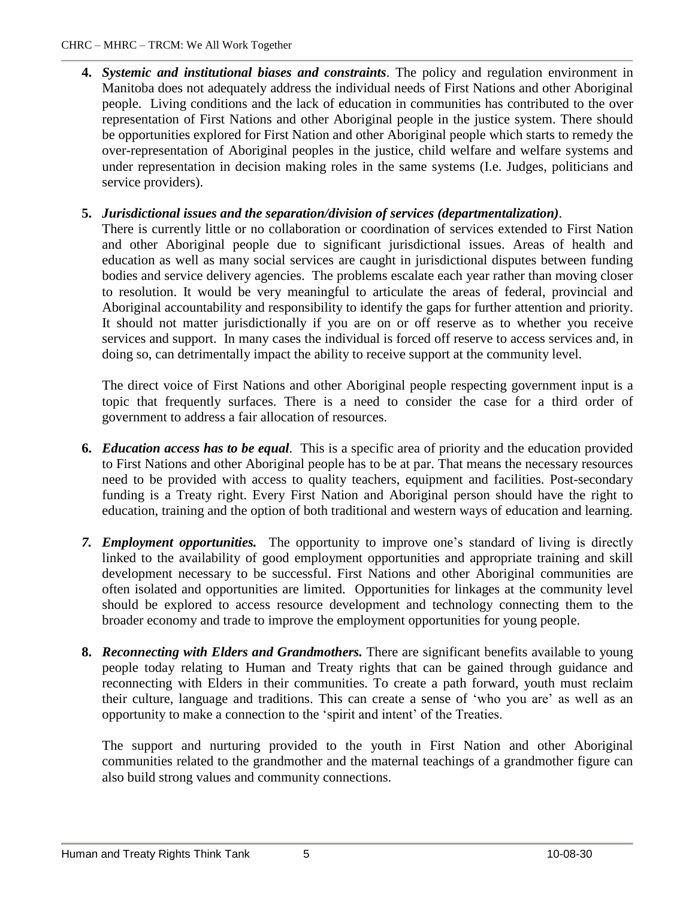**4.** *Systemic and institutional biases and constraints*. The policy and regulation environment in Manitoba does not adequately address the individual needs of First Nations and other Aboriginal people. Living conditions and the lack of education in communities has contributed to the over representation of First Nations and other Aboriginal people in the justice system. There should be opportunities explored for First Nation and other Aboriginal people which starts to remedy the over-representation ofAboriginal peoples in the justice, child welfare and welfare systems and under representation in decision making roles in the same systems (I.e. Judges, politicians and service providers).

## **5.** *Jurisdictional issues and the separation/division of services (departmentalization)*.

There is currently little or no collaboration or coordination of services extended to First Nation and other Aboriginal people due to significant jurisdictional issues. Areas of health and education as well as many social services are caught in jurisdictional disputes between funding bodies and service delivery agencies. The problems escalate each year rather than moving closer to resolution. It would be very meaningful to articulate the areas of federal, provincial and Aboriginal accountability and responsibility to identify the gaps for further attention and priority. It should not matter jurisdictionally if you are on or off reserve as to whether you receive services and support. In many cases the individual is forced off reserve to access services and, in doing so, can detrimentally impact the ability to receive support at the community level.

The direct voice of First Nations and other Aboriginal people respecting government input is a topic that frequently surfaces. There is a need to consider the case for a third order of government to address a fair allocation of resources.

- **6.** *Education access has to be equal*. This is a specific area of priority and the education provided to First Nations and other Aboriginal people has to be at par. That means the necessary resources need to be provided with access to quality teachers, equipment and facilities. Post-secondary funding is a Treaty right. Every First Nation and Aboriginal person should have the right to education, training and the option of both traditional and western ways of education and learning.
- 7. *Employment opportunities*. The opportunity to improve one's standard of living is directly linked to the availability of good employment opportunities and appropriate training and skill development necessary to be successful. First Nations and other Aboriginal communities are often isolated and opportunities are limited. Opportunities for linkages at the community level should be explored to access resource development and technology connecting them to the broader economy and trade to improve the employment opportunities for young people.
- **8.** *Reconnecting with Elders and Grandmothers.* There are significant benefits available to young people today relating to Human and Treaty rights that can be gained through guidance and reconnecting with Elders in their communities. To create a path forward, youth must reclaim their culture, language and traditions. This can create a sense of 'who you are' as well as an opportunity to make a connection to the 'spirit and intent' of the Treaties.

The support and nurturing provided to the youth in First Nation and other Aboriginal communities related to the grandmother and the maternal teachings of a grandmother figure can also build strong values and community connections.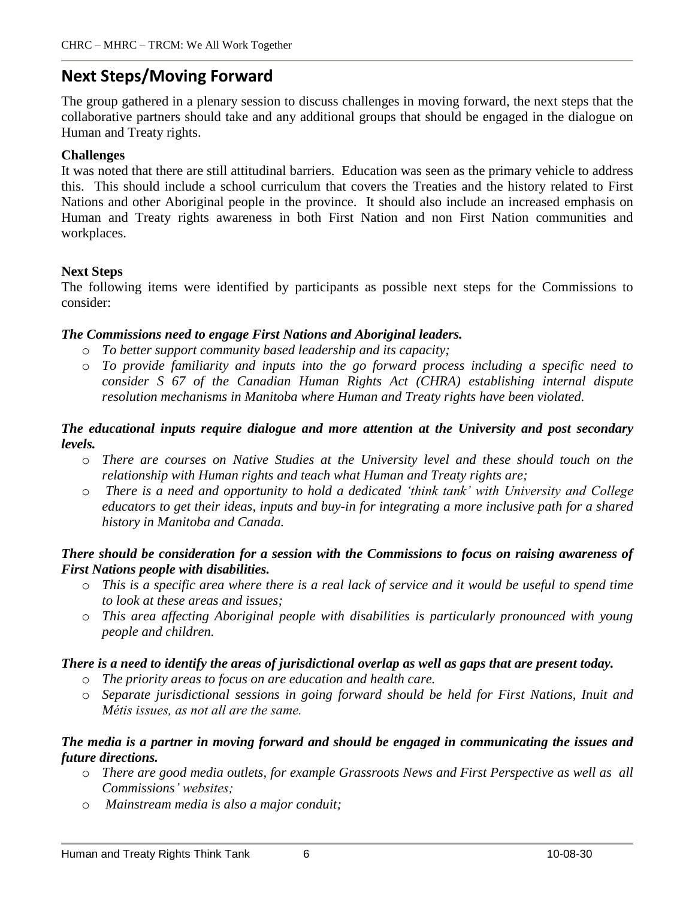# **Next Steps/Moving Forward**

The group gathered in a plenary session to discuss challenges in moving forward, the next steps that the collaborative partners should take and any additional groups that should be engaged in the dialogue on Human and Treaty rights.

### **Challenges**

It was noted that there are still attitudinal barriers. Education was seen as the primary vehicle to address this. This should include a school curriculum that covers the Treaties and the history related to First Nations and other Aboriginal people in the province. It should also include an increased emphasis on Human and Treaty rights awareness in both First Nation and non First Nation communities and workplaces.

### **Next Steps**

The following items were identified by participants as possible next steps for the Commissions to consider:

#### *The Commissions need to engage First Nations and Aboriginal leaders.*

- o *To better support community based leadership and its capacity;*
- o *To provide familiarity and inputs into the go forward process including a specific need to consider S 67 of the Canadian Human Rights Act (CHRA) establishing internal dispute resolution mechanisms in Manitoba where Human and Treaty rights have been violated.*

### *The educational inputs require dialogue and more attention at the University and post secondary levels.*

- o *There are courses on Native Studies at the University level and these should touch on the relationship with Human rights and teach what Human and Treaty rights are;*
- o *There is a need and opportunity to hold a dedicated ëthink tankí with University and College educators to get their ideas, inputs and buy-in for integrating a more inclusive path for a shared history in Manitoba and Canada.*

#### *There should be consideration for a session with the Commissions to focus on raising awareness of First Nations people with disabilities.*

- o This is a specific area where there is a real lack of service and it would be useful to spend time *to look at these areas and issues;*
- o *This area af ecting Aboriginal people with disabilities is particularly pronounced with young people and children.*

## There is a need to identify the areas of jurisdictional overlap as well as gaps that are present today.

- o *The priority areas to focus on are education and health care.*
- o *Separate jurisdictional sessions in going forward should be held for First Nations, Inuit and MÈtis issues, as not all are the same.*

### *The media is a partner in moving forward and should be engaged in communicating the issues and future directions.*

- o *There are good media outlets, for example Grassroots News and First Perspective as well as all Commissionsí websites;*
- o *Mainstream media is also a major conduit;*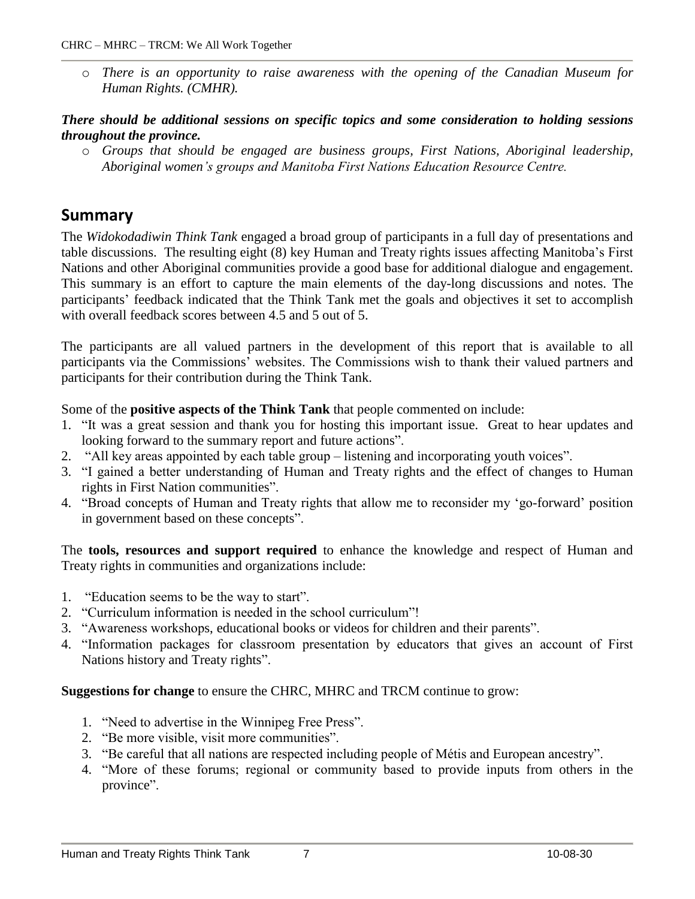o *There is an opportunity to raise awareness with the opening of the Canadian Museum for Human Rights. (CMHR).*

### *There should be additional sessions on specific topics and some consideration to holding sessions throughout the province.*

o *Groups that should be engaged are business groups, First Nations, Aboriginal leadership, Aboriginal womenís groups and Manitoba First Nations Education Resource Centre.*

# **Summary**

The *Widokodadiwin Think Tank* engaged a broad group of participants in a full day of presentations and table discussions. The resulting eight (8) key Human and Treaty rights issues affecting Manitobaís First Nations and other Aboriginal communities provide a good base for additional dialogue and engagement. This summary is an effort to capture the main elements of the day-long discussions and notes. The participants' feedback indicated that the Think Tank met the goals and objectives it set to accomplish with overall feedback scores between 4.5 and 5 out of 5.

The participants are all valued partners in the development of this report that is available to all participants via the Commissions' websites. The Commissions wish to thank their valued partners and participants for their contribution during the Think Tank.

Some of the **positive aspects of the Think Tank** that people commented on include:

- 1. "It was a great session and thank you for hosting this important issue. Great to hear updates and looking forward to the summary report and future actions".
- 2. "All key areas appointed by each table group listening and incorporating youth voices".
- 3. "I gained a better understanding of Human and Treaty rights and the effect of changes to Human rights in First Nation communities".
- 4. "Broad concepts of Human and Treaty rights that allow me to reconsider my 'go-forward' position in government based on these concepts".

The **tools, resources and support required** to enhance the knowledge and respect of Human and Treaty rights in communities and organizations include:

- 1. **Education seems to be the way to start**.
- 2. "Curriculum information is needed in the school curriculum"!
- 3. "Awareness workshops, educational books or videos for children and their parents".
- 4. "Information packages for classroom presentation by educators that gives an account of First Nations history and Treaty rights".

**Suggestions for change** to ensure the CHRC, MHRC and TRCM continue to grow:

- 1. "Need to advertise in the Winnipeg Free Press".
- 2. "Be more visible, visit more communities".
- 3. "Be careful that all nations are respected including people of Métis and European ancestry".
- 4. "More of these forums; regional or community based to provide inputs from others in the province".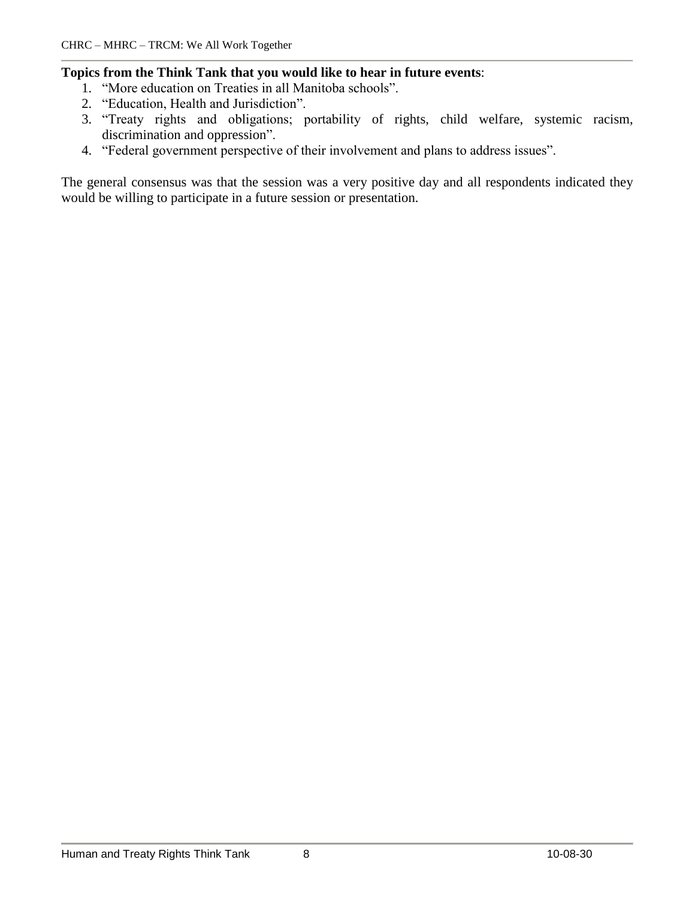#### **Topics from the Think Tank that you would like to hear in future events**:

- 1. "More education on Treaties in all Manitoba schools".
- 2. "Education, Health and Jurisdiction".
- 3. "Treaty rights and obligations; portability of rights, child welfare, systemic racism, discrimination and oppression".
- 4. "Federal government perspective of their involvement and plans to address issues".

The general consensus was that the session was a very positive day and all respondents indicated they would be willing to participate in a future session or presentation.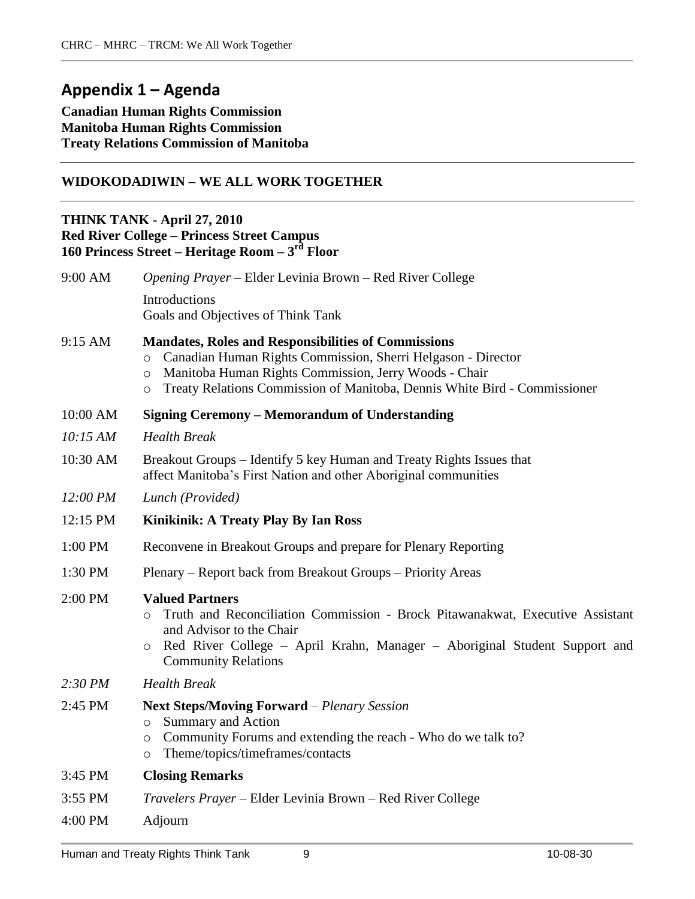# **Appendix 1 ñ Agenda**

#### **Canadian Human Rights Commission Manitoba Human Rights Commission Treaty Relations Commission of Manitoba**

### **WIDOKODADIWIN - WE ALL WORK TOGETHER**

#### **THINK TANK - April 27, 2010 Red River College ñ Princess Street Campus 160 Princess Street ñ Heritage Room ñ 3 rd Floor**

| 9:00 AM  | Opening Prayer – Elder Levinia Brown – Red River College                                                                                                                                                                                                                                    |
|----------|---------------------------------------------------------------------------------------------------------------------------------------------------------------------------------------------------------------------------------------------------------------------------------------------|
|          | Introductions<br>Goals and Objectives of Think Tank                                                                                                                                                                                                                                         |
| 9:15 AM  | <b>Mandates, Roles and Responsibilities of Commissions</b><br>Canadian Human Rights Commission, Sherri Helgason - Director<br>$\circ$<br>Manitoba Human Rights Commission, Jerry Woods - Chair<br>$\circ$<br>Treaty Relations Commission of Manitoba, Dennis White Bird - Commissioner<br>O |
| 10:00 AM | <b>Signing Ceremony - Memorandum of Understanding</b>                                                                                                                                                                                                                                       |
| 10:15 AM | <b>Health Break</b>                                                                                                                                                                                                                                                                         |
| 10:30 AM | Breakout Groups – Identify 5 key Human and Treaty Rights Issues that<br>affect Manitoba's First Nation and other Aboriginal communities                                                                                                                                                     |
| 12:00 PM | Lunch (Provided)                                                                                                                                                                                                                                                                            |
| 12:15 PM | Kinikinik: A Treaty Play By Ian Ross                                                                                                                                                                                                                                                        |
| 1:00 PM  | Reconvene in Breakout Groups and prepare for Plenary Reporting                                                                                                                                                                                                                              |
| 1:30 PM  | Plenary – Report back from Breakout Groups – Priority Areas                                                                                                                                                                                                                                 |
| 2:00 PM  | <b>Valued Partners</b><br>Truth and Reconciliation Commission - Brock Pitawanakwat, Executive Assistant<br>O<br>and Advisor to the Chair<br>Red River College - April Krahn, Manager - Aboriginal Student Support and<br>$\circ$<br><b>Community Relations</b>                              |
| 2:30 PM  | <b>Health Break</b>                                                                                                                                                                                                                                                                         |
| 2:45 PM  | <b>Next Steps/Moving Forward</b> – Plenary Session<br><b>Summary and Action</b><br>$\circ$<br>Community Forums and extending the reach - Who do we talk to?<br>$\circ$<br>Theme/topics/timeframes/contacts<br>$\circ$                                                                       |
| 3:45 PM  | <b>Closing Remarks</b>                                                                                                                                                                                                                                                                      |
| 3:55 PM  | Travelers Prayer - Elder Levinia Brown - Red River College                                                                                                                                                                                                                                  |
| 4:00 PM  | Adjourn                                                                                                                                                                                                                                                                                     |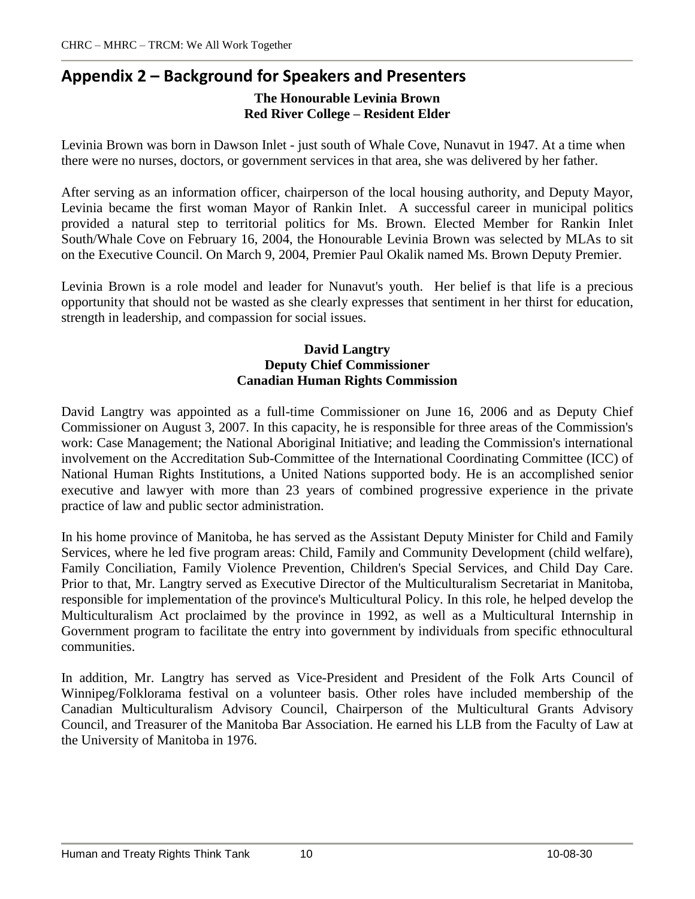# **Appendix 2 ñ Background for Speakers and Presenters The Honourable Levinia Brown Red River College ñ Resident Elder**

Levinia Brown was born in Dawson Inlet - just south of Whale Cove, Nunavut in 1947. At a time when there were no nurses, doctors, or government services in that area, she was delivered by her father.

After serving as an information officer, chairperson of the local housing authority, and Deputy Mayor, Levinia became the first woman Mayor of Rankin Inlet. A successful career in municipal politics provided a natural step to territorial politics for Ms. Brown. Elected Member for Rankin Inlet South/Whale Cove on February 16, 2004, the Honourable Levinia Brown was selected by MLAs to sit on the Executive Council. On March 9, 2004, Premier Paul Okalik named Ms. Brown Deputy Premier.

Levinia Brown is a role model and leader for Nunavut's youth. Her belief is that life is a precious opportunity that should not be wasted as she clearly expresses that sentiment in her thirst for education, strength in leadership, and compassion for social issues.

#### **David Langtry Deputy Chief Commissioner Canadian Human Rights Commission**

David Langtry was appointed as a full-time Commissioner on June 16, 2006 and as Deputy Chief Commissioner on August 3, 2007. In this capacity, he is responsible for three areas of the Commission's work: Case Management; the National Aboriginal Initiative; and leading the Commission's international involvement on the Accreditation Sub-Committee of the International Coordinating Committee (ICC) of National Human Rights Institutions, a United Nations supported body. He is an accomplished senior executive and lawyer with more than 23 years of combined progressive experience in the private practice of law and public sector administration.

In his home province of Manitoba, he has served as the Assistant Deputy Minister for Child and Family Services, where he led five program areas: Child, Family and Community Development (child welfare), Family Conciliation, Family Violence Prevention, Children's Special Services, and Child Day Care. Prior to that, Mr. Langtry served as Executive Director of the Multiculturalism Secretariat in Manitoba, responsible for implementation of the province's Multicultural Policy. In this role, he helped develop the Multiculturalism Act proclaimed by the province in 1992, as well as a Multicultural Internship in Government program to facilitate the entry into government by individuals from specific ethnocultural communities.

In addition, Mr. Langtry has served as Vice-President and President of the Folk Arts Council of Winnipeg/Folklorama festival on a volunteer basis. Other roles have included membership of the Canadian Multiculturalism Advisory Council, Chairperson of the Multicultural Grants Advisory Council, and Treasurer of the Manitoba Bar Association. He earned his LLB from the Faculty of Law at the University of Manitoba in 1976.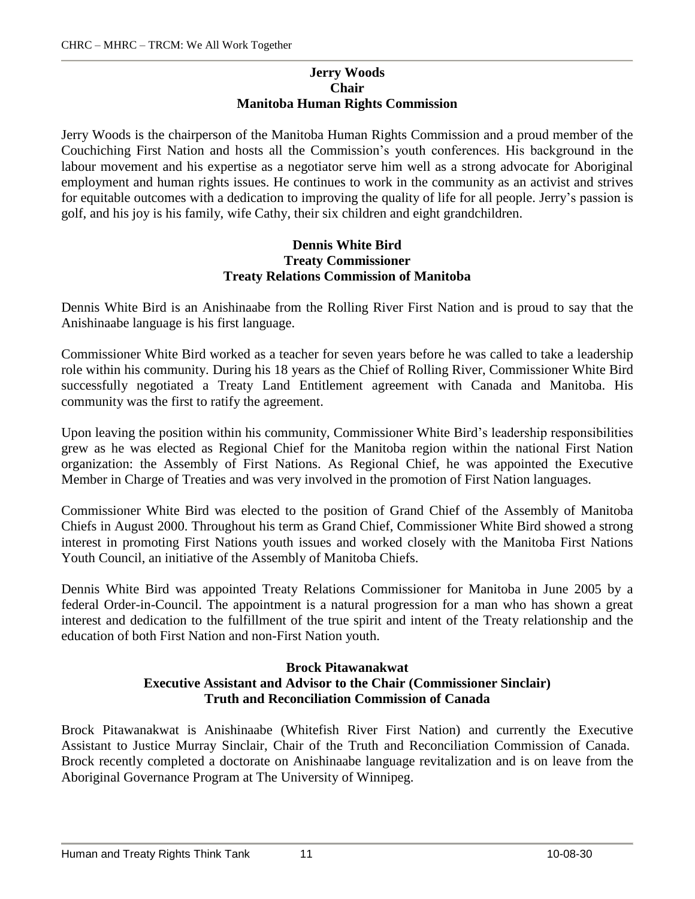#### **Jerry Woods Chair Manitoba Human Rights Commission**

Jerry Woods is the chairperson of the Manitoba Human Rights Commission and a proud member of the Couchiching First Nation and hosts all the Commission's youth conferences. His background in the labour movement and his expertise as a negotiator serve him well as a strong advocate for Aboriginal employment and human rights issues. He continues to work in the community as an activist and strives for equitable outcomes with a dedication to improving the quality of life for all people. Jerry's passion is golf, and his joy is his family, wife Cathy, their six children and eight grandchildren.

#### **Dennis White Bird Treaty Commissioner Treaty Relations Commission of Manitoba**

Dennis White Bird is an Anishinaabe from the Rolling River First Nation and is proud to say that the Anishinaabe language is his first language.

Commissioner White Bird worked as a teacher for seven years before he was called to take a leadership role within his community. During his 18 years as the Chief of Rolling River, Commissioner White Bird successfully negotiated a Treaty Land Entitlement agreement with Canada and Manitoba. His community was the first to ratify the agreement.

Upon leaving the position within his community, Commissioner White Bird's leadership responsibilities grew as he was elected as Regional Chief for the Manitoba region within the national First Nation organization: the Assembly of First Nations. As Regional Chief, he was appointed the Executive Member in Charge of Treaties and was very involved in the promotion of First Nation languages.

Commissioner White Bird was elected to the position of Grand Chief of the Assembly of Manitoba Chiefs in August 2000. Throughout his term as Grand Chief, Commissioner White Bird showed a strong interest in promoting First Nations youth issues and worked closely with the Manitoba First Nations Youth Council, an initiative of the Assembly of Manitoba Chiefs.

Dennis White Bird was appointed Treaty Relations Commissioner for Manitoba in June 2005 by a federal Order-in-Council. The appointment is a natural progression for a man who has shown a great interest and dedication to the fulfillment of the true spirit and intent of the Treaty relationship and the education of both First Nation and non-First Nation youth.

#### **Brock Pitawanakwat Executive Assistant and Advisor to the Chair (Commissioner Sinclair) Truth and Reconciliation Commission of Canada**

Brock Pitawanakwat is Anishinaabe (Whitefish River First Nation) and currently the Executive Assistant to Justice Murray Sinclair, Chair of the Truth and Reconciliation Commission of Canada. Brock recently completed a doctorate on Anishinaabe language revitalization and is on leave from the Aboriginal Governance Program at The University of Winnipeg.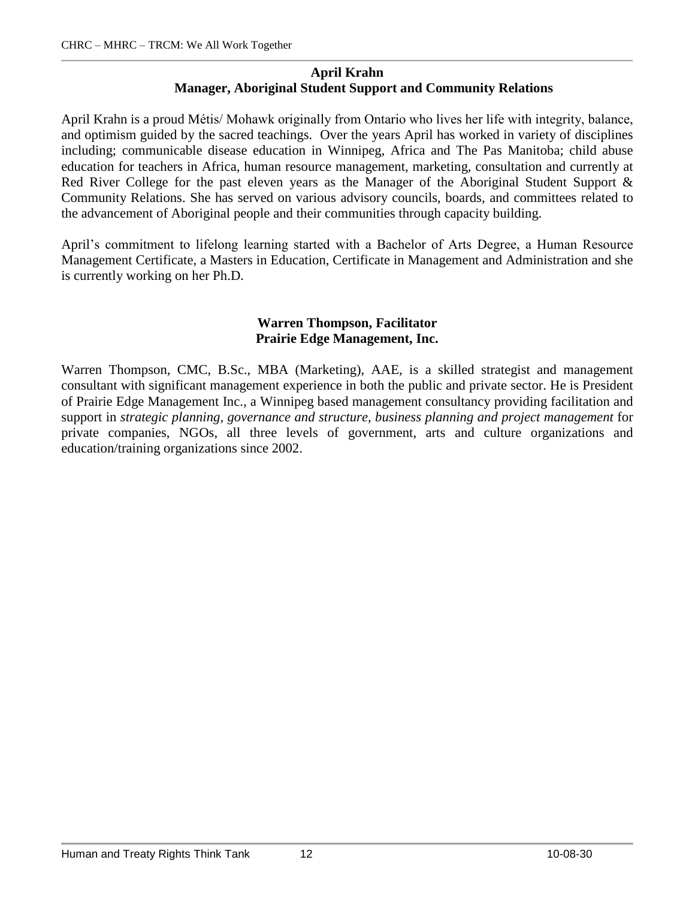#### **April Krahn Manager, Aboriginal Student Support and Community Relations**

April Krahn is a proud MÈtis/ Mohawk originally from Ontario who lives her life with integrity, balance, and optimism guided by the sacred teachings. Over the years April has worked in variety of disciplines including; communicable disease education in Winnipeg, Africa and The Pas Manitoba; child abuse education for teachers in Africa, human resource management, marketing, consultation and currently at Red River College for the past eleven years as the Manager of the Aboriginal Student Support & Community Relations. She has served on various advisory councils, boards, and committees related to the advancement of Aboriginal people and their communities through capacity building.

April's commitment to lifelong learning started with a Bachelor of Arts Degree, a Human Resource Management Certificate, a Masters in Education, Certificate in Management and Administration and she is currently working on her Ph.D.

#### **Warren Thompson, Facilitator Prairie Edge Management, Inc.**

Warren Thompson, CMC, B.Sc., MBA (Marketing), AAE, is a skilled strategist and management consultant with significant management experience in both the public and private sector. He is President of Prairie Edge Management Inc., a Winnipeg based management consultancy providing facilitation and support in *strategic planning, governance and structure, business planning and project management* for private companies, NGOs, all three levels of government, arts and culture organizations and education/training organizations since 2002.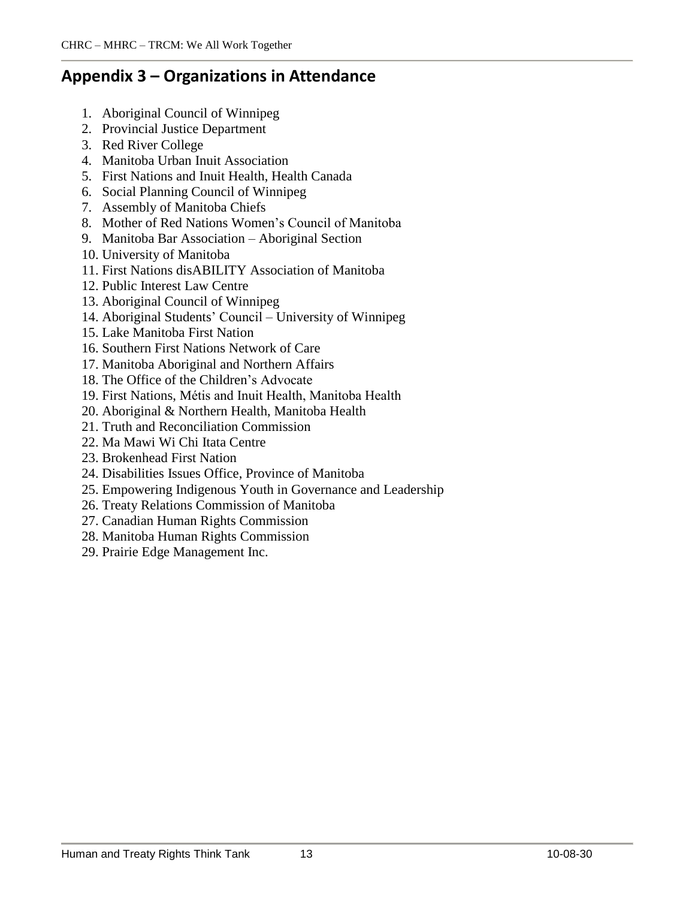# **Appendix 3 ñ Organizations in Attendance**

- 1. Aboriginal Council of Winnipeg
- 2. Provincial Justice Department
- 3. Red River College
- 4. Manitoba Urban Inuit Association
- 5. First Nations and Inuit Health, Health Canada
- 6. Social Planning Council of Winnipeg
- 7. Assembly of Manitoba Chiefs
- 8. Mother of Red Nations Women's Council of Manitoba
- 9. Manitoba Bar Association Aboriginal Section
- 10. University of Manitoba
- 11. First Nations disABILITY Association of Manitoba
- 12. Public Interest Law Centre
- 13. Aboriginal Council of Winnipeg
- 14. Aboriginal Students' Council University of Winnipeg
- 15. Lake Manitoba First Nation
- 16. Southern First Nations Network of Care
- 17. Manitoba Aboriginal and Northern Affairs
- 18. The Office of the Children's Advocate
- 19. First Nations, MÈtis and Inuit Health, Manitoba Health
- 20. Aboriginal & Northern Health, Manitoba Health
- 21. Truth and Reconciliation Commission
- 22. Ma Mawi Wi Chi Itata Centre
- 23. Brokenhead First Nation
- 24. Disabilities Issues Office, Province of Manitoba
- 25. Empowering Indigenous Youth in Governance and Leadership
- 26. Treaty Relations Commission of Manitoba
- 27. Canadian Human Rights Commission
- 28. Manitoba Human Rights Commission
- 29. Prairie Edge Management Inc.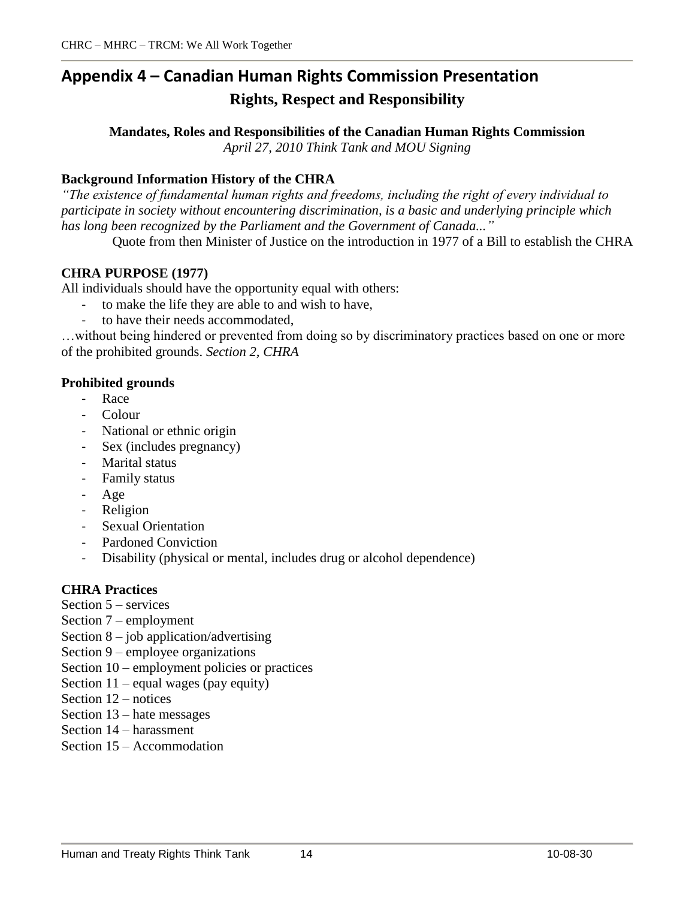# **Appendix 4 ñ Canadian Human Rights Commission Presentation Rights, Respect and Responsibility**

**Mandates, Roles and Responsibilities of the Canadian Human Rights Commission** *April 27, 2010 Think Tank and MOU Signing*

## **Background Information History of the CHRA**

*ìThe existence of fundamental human rights and freedoms, including the right of every individual to participate in society without encountering discrimination, is a basic and underlying principle which has long been recognized by the Parliament and the Government of Canada...î*

Quote from then Minister of Justice on the introduction in 1977 of a Bill to establish the CHRA

#### **CHRA PURPOSE (1977)**

All individuals should have the opportunity equal with others:

- to make the life they are able to and wish to have,
- to have their needs accommodated.

... without being hindered or prevented from doing so by discriminatory practices based on one or more of the prohibited grounds. *Section 2, CHRA*

#### **Prohibited grounds**

- Race
- Colour
- National or ethnic origin
- Sex (includes pregnancy)
- Marital status
- Family status
- Age
- Religion
- Sexual Orientation
- Pardoned Conviction
- Disability (physical or mental, includes drug or alcohol dependence)

## **CHRA Practices**

- Section  $5$  services
- Section  $7$  employment
- Section  $8 j$ ob application/advertising
- Section  $9$  employee organizations
- Section  $10$  employment policies or practices
- Section  $11$  equal wages (pay equity)
- Section  $12$  notices
- Section  $13$  hate messages
- Section  $14$  harassment
- Section  $15 -$  Accommodation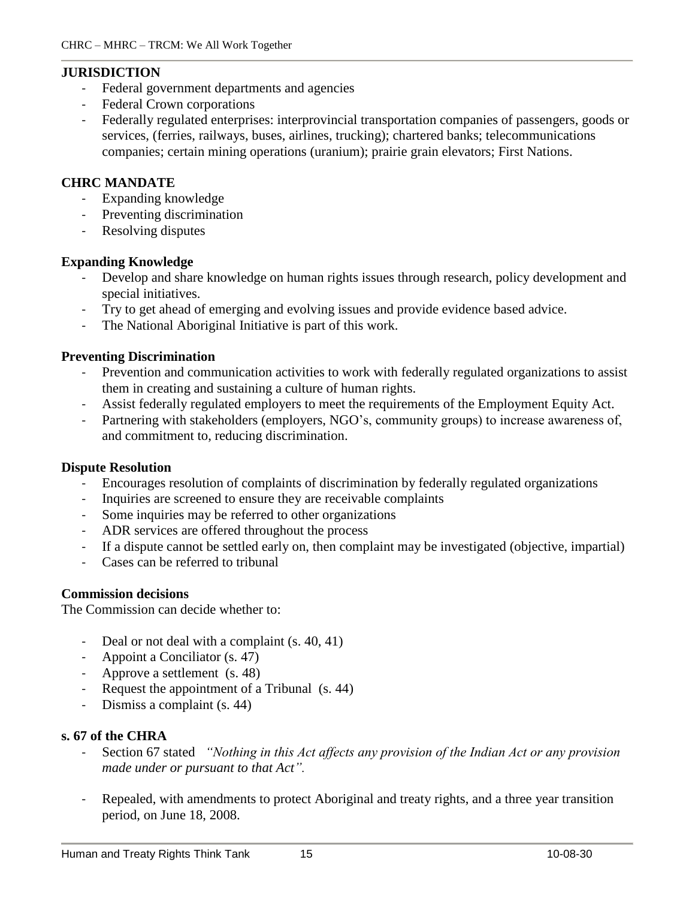#### **JURISDICTION**

- Federal government departments and agencies
- Federal Crown corporations
- Federally regulated enterprises: interprovincial transportation companies of passengers, goods or services, (ferries, railways, buses, airlines, trucking); chartered banks; telecommunications companies; certain mining operations (uranium); prairie grain elevators; First Nations.

#### **CHRC MANDATE**

- Expanding knowledge
- Preventing discrimination
- Resolving disputes

#### **Expanding Knowledge**

- Develop and share knowledge on human rights issues through research, policy development and special initiatives.
- Try to get ahead of emerging and evolving issues and provide evidence based advice.
- The National Aboriginal Initiative is part of this work.

#### **Preventing Discrimination**

- Prevention and communication activities to work with federally regulated organizations to assist them in creating and sustaining a culture of human rights.
- Assist federally regulated employers to meet the requirements of the Employment Equity Act.
- Partnering with stakeholders (employers, NGO's, community groups) to increase awareness of, and commitment to, reducing discrimination.

#### **Dispute Resolution**

- Encourages resolution of complaints of discrimination by federally regulated organizations
- Inquiries are screened to ensure they are receivable complaints
- Some inquiries may be referred to other organizations
- ADR services are offered throughout the process
- If a dispute cannot be settled early on, then complaint may be investigated (objective, impartial)
- Cases can be referred to tribunal

#### **Commission decisions**

The Commission can decide whether to:

- Deal or not deal with a complaint (s. 40, 41)
- Appoint a Conciliator (s. 47)
- Approve a settlement (s. 48)
- Request the appointment of a Tribunal (s. 44)
- Dismiss a complaint (s. 44)

## **s. 67 of the CHRA**

- Section 67 stated *ìNothing in this Act af ects any provision of the Indian Actor any provision made under or pursuant to that Actî.*
- Repealed, with amendments to protect Aboriginal and treaty rights, and a three year transition period, on June 18, 2008.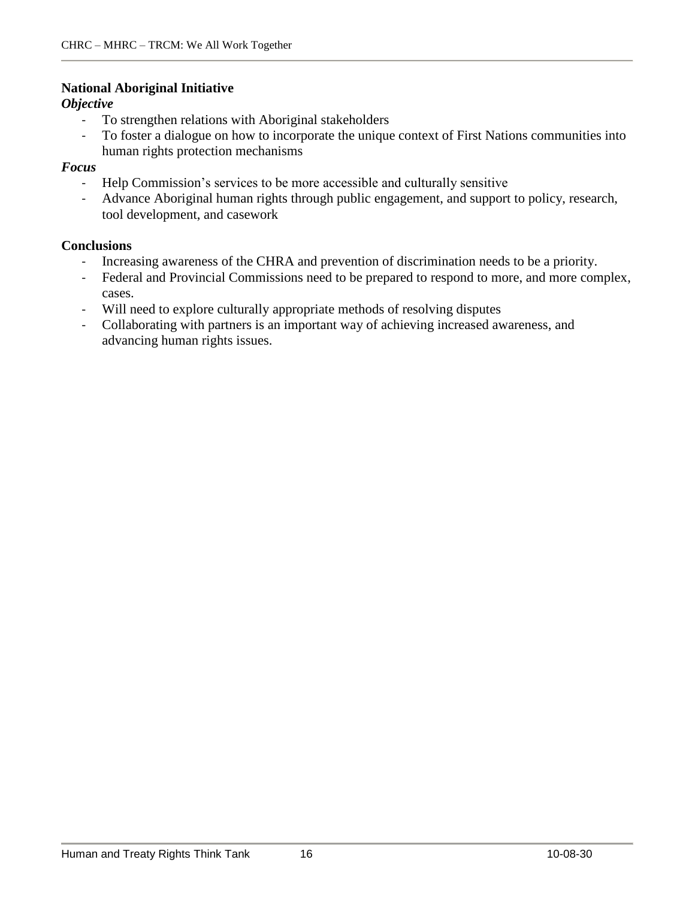#### **National Aboriginal Initiative**

#### *Objective*

- To strengthen relations with Aboriginal stakeholders
- To foster a dialogue on how to incorporate the unique context of First Nations communities into human rights protection mechanisms

#### *Focus*

- Help Commission's services to be more accessible and culturally sensitive
- Advance Aboriginal human rights through public engagement, and support to policy, research, tool development, and casework

#### **Conclusions**

- Increasing awareness of the CHRA and prevention of discrimination needs to be a priority.
- Federal and Provincial Commissions need to be prepared to respond to more, and more complex, cases.
- Will need to explore culturally appropriate methods of resolving disputes
- Collaborating with partners is an important way of achieving increased awareness, and advancing human rights issues.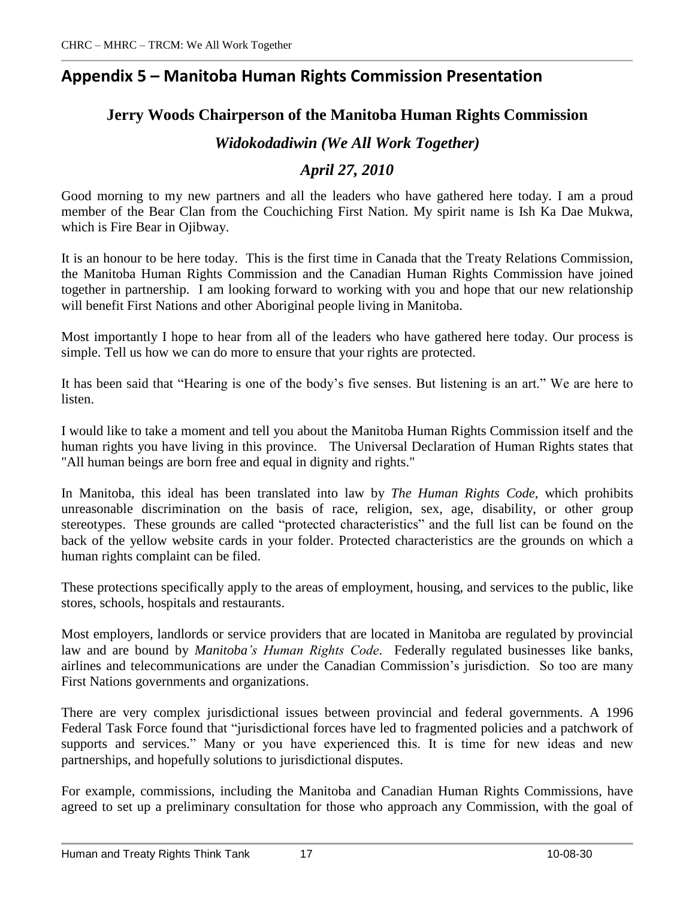# **Appendix 5 ñ Manitoba Human Rights Commission Presentation**

# **Jerry Woods Chairperson of the Manitoba Human Rights Commission**

# *Widokodadiwin (We All Work Together)*

# *April 27, 2010*

Good morning to my new partners and all the leaders who have gathered here today. I am a proud member of the Bear Clan from the Couchiching First Nation. My spirit name is Ish Ka Dae Mukwa, which is Fire Bear in Ojibway.

It is an honour to be here today. This is the first time in Canada that the Treaty Relations Commission, the Manitoba Human Rights Commission and the Canadian Human Rights Commission have joined together in partnership. I am looking forward to working with you and hope that our new relationship will benefit First Nations and other Aboriginal people living in Manitoba.

Most importantly I hope to hear from all of the leaders who have gathered here today. Our process is simple. Tell us how we can do more to ensure that your rights are protected.

It has been said that "Hearing is one of the body's five senses. But listening is an art." We are here to listen.

I would like to take a moment and tell you about the Manitoba Human Rights Commission itself and the human rights you have living in this province. The Universal Declaration of Human Rights states that "All human beings are born free and equal in dignity and rights."

In Manitoba, this ideal has been translated into law by *The Human Rights Code,* which prohibits unreasonable discrimination on the basis of race, religion, sex, age, disability, or other group stereotypes. These grounds are called "protected characteristics" and the full list can be found on the back of the yellow website cards in your folder. Protected characteristics are the grounds on which a human rights complaint can be filed.

These protections specifically apply to the areas of employment, housing, and services to the public, like stores, schools, hospitals and restaurants.

Most employers, landlords or service providers that are located in Manitoba are regulated by provincial law and are bound by *Manitobaís Human Rights Code*. Federally regulated businesses like banks, airlines and telecommunications are under the Canadian Commission's jurisdiction. So too are many First Nations governments and organizations.

There are very complex jurisdictional issues between provincial and federal governments. A 1996 Federal Task Force found that "jurisdictional forces have led to fragmented policies and a patchwork of supports and services." Many or you have experienced this. It is time for new ideas and new partnerships, and hopefully solutions to jurisdictional disputes.

For example, commissions, including the Manitoba and Canadian Human Rights Commissions, have agreed to set up a preliminary consultation for those who approach any Commission, with the goal of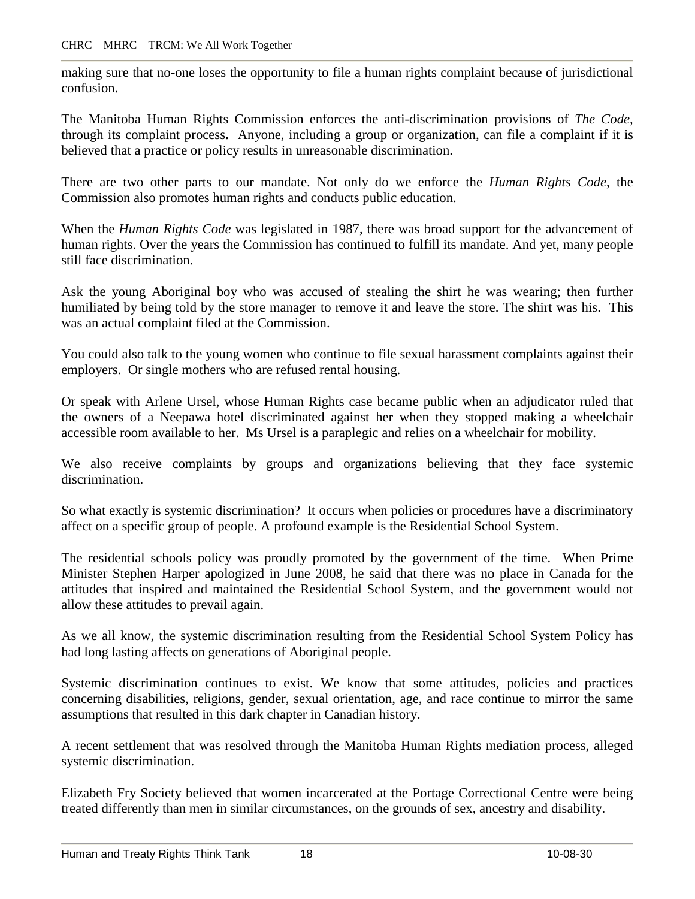making sure that no-one loses the opportunity to file a human rights complaint because of jurisdictional confusion.

The Manitoba Human Rights Commission enforces the anti-discrimination provisions of *The Code,* through its complaint process**.** Anyone, including a group ororganization, can file a complaint if it is believed that a practice or policy results in unreasonable discrimination.

There are two other parts to our mandate. Not only do we enforce the *Human Rights Code*, the Commission also promotes human rights and conducts public education.

When the *Human Rights Code* was legislated in 1987, there was broad support for the advancement of human rights. Over the years the Commission has continued to fulfill its mandate. And yet, many people still face discrimination.

Ask the young Aboriginal boy who was accused of stealing the shirt he was wearing; then further humiliated by being told by the store manager to remove it and leave the store. The shirt was his. This was an actual complaint filed at the Commission.

You could also talk to the young women who continue to file sexual harassment complaints against their employers. Or single mothers who are refused rental housing.

Or speak with Arlene Ursel, whose Human Rights case became public when an adjudicator ruled that the owners of a Neepawa hotel discriminated against her when they stopped making a wheelchair accessible room available to her. Ms Ursel is a paraplegic and relies on a wheelchair for mobility.

We also receive complaints by groups and organizations believing that they face systemic discrimination.

So what exactly is systemic discrimination? It occurs when policies or procedures have a discriminatory affect on a specific group of people. A profound example is the Residential School System.

The residential schools policy was proudly promoted by the government of the time. When Prime Minister Stephen Harper apologized in June 2008, he said that there was no place in Canada for the attitudes that inspired and maintained the Residential School System, and the government would not allow these attitudes to prevail again.

As we all know, the systemic discrimination resulting from the Residential School System Policy has had long lasting affects on generations of Aboriginal people.

Systemic discrimination continues to exist. We know that some attitudes, policies and practices concerning disabilities, religions, gender, sexual orientation, age, and race continue to mirror the same assumptions that resulted in this dark chapter in Canadian history.

A recent settlement that was resolved through the Manitoba Human Rights mediation process, alleged systemic discrimination.

Elizabeth Fry Society believed that women incarcerated at the Portage Correctional Centre were being treated differently than men in similar circumstances, on the grounds of sex, ancestry and disability.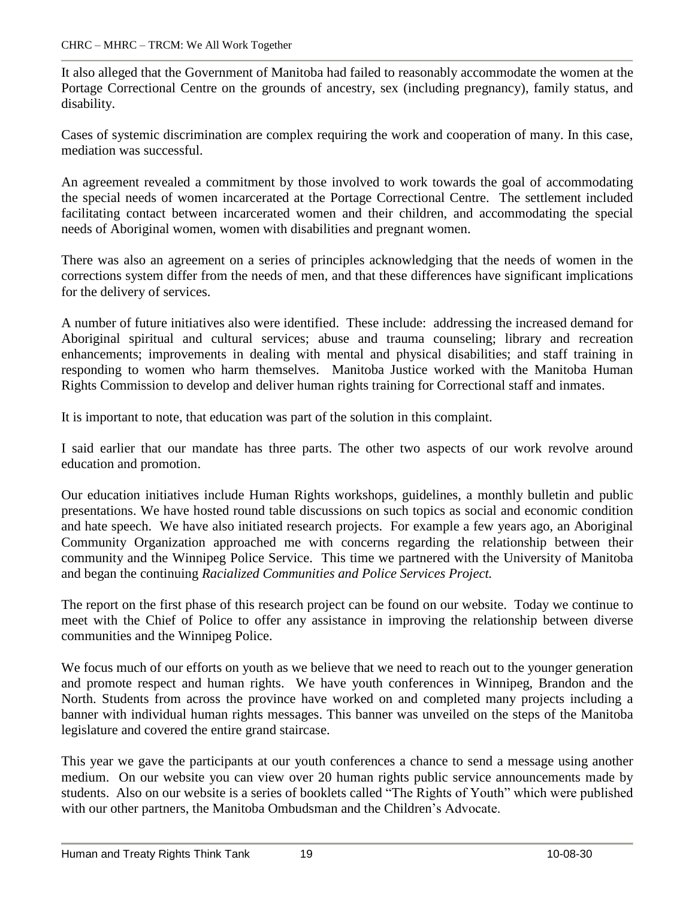It also alleged that the Government of Manitoba had failed to reasonably accommodate the women at the Portage Correctional Centre on the grounds of ancestry, sex (including pregnancy), family status, and disability.

Cases of systemic discrimination are complex requiring the work and cooperation of many. In this case, mediation was successful.

An agreement revealed a commitment by those involved to work towards the goal of accommodating the special needs of women incarcerated at the Portage Correctional Centre. The settlement included facilitating contact between incarcerated women and their children, and accommodating the special needs of Aboriginal women, women with disabilities and pregnant women.

There was also an agreement on a series of principles acknowledging that the needs of women in the corrections system differ from the needs of men, and that these differences have significant implications for the delivery of services.

A number of future initiatives also were identified. These include: addressing the increased demand for Aboriginal spiritual and cultural services; abuse and trauma counseling; library and recreation enhancements; improvements in dealing with mental and physical disabilities; and staff training in responding to women who harm themselves. Manitoba Justice worked with the Manitoba Human Rights Commission to develop and deliver human rights training for Correctional staff and inmates.

It is important to note, that education was part of the solution in this complaint.

I said earlier that our mandate has three parts. The other two aspects of our work revolve around education and promotion.

Our education initiatives include Human Rights workshops, guidelines, a monthly bulletin and public presentations. We have hosted round table discussions on such topics as social and economic condition and hate speech. We have also initiated research projects. For example a few years ago, an Aboriginal Community Organization approached me with concerns regarding the relationship between their community and the Winnipeg Police Service. This time we partnered with the University of Manitoba and began the continuing *Racialized Communities and Police Services Project.*

The report on the first phase of this research project can be found on our website. Today we continue to meet with the Chief of Police to offer any assistance in improving the relationship between diverse communities and the Winnipeg Police.

We focus much of our efforts on youth as we believe that we need to reach out to the younger generation and promote respect and human rights. We have youth conferences in Winnipeg, Brandon and the North. Students from across the province have worked on and completed many projects including a banner with individual human rights messages. This banner was unveiled on the steps of the Manitoba legislature and covered the entire grand staircase.

This year we gave the participants at our youth conferences a chance to send a message using another medium. On our website you can view over 20 human rights public service announcements made by students. Also on our website is a series of booklets called "The Rights of Youth" which were published with our other partners, the Manitoba Ombudsman and the Children's Advocate.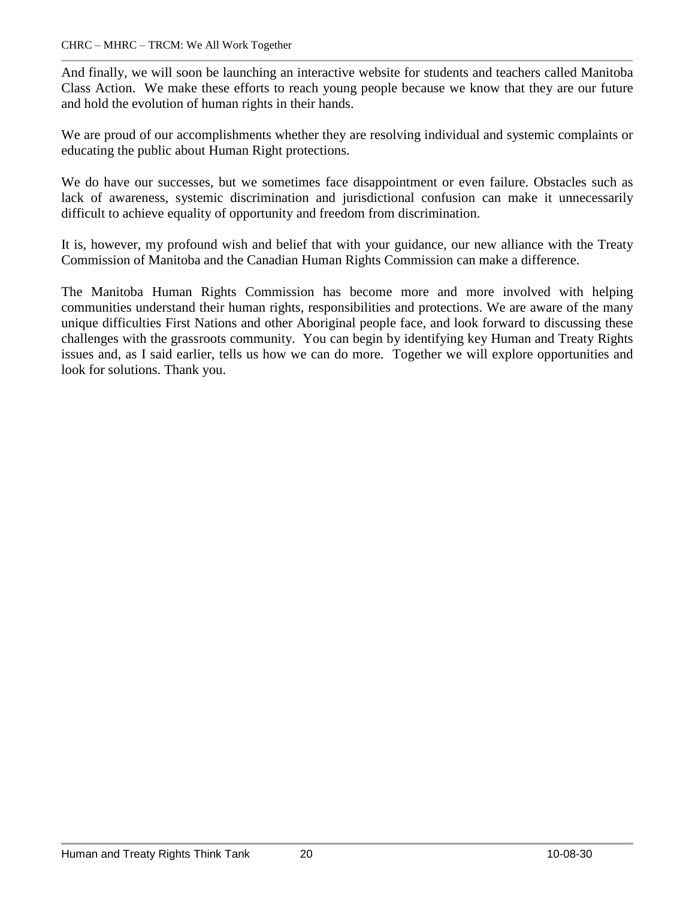And finally, we will soon be launching an interactive website for students and teachers called Manitoba Class Action. We make these efforts to reach young people because we know that they are our future and hold the evolution of human rights in their hands.

We are proud of our accomplishments whether they are resolving individual and systemic complaints or educating the public about Human Right protections.

We do have our successes, but we sometimes face disappointment or even failure. Obstacles such as lack of awareness, systemic discrimination and jurisdictional confusion can make it unnecessarily difficult to achieve equality of opportunity and freedom from discrimination.

It is, however, my profound wish and belief that with your guidance, our new alliance with the Treaty Commission of Manitoba and the Canadian Human Rights Commission can make a difference.

The Manitoba Human Rights Commission has become more and more involved with helping communities understand their human rights, responsibilities and protections. We are aware of the many unique difficulties First Nations and other Aboriginal people face, and look forward to discussing these challenges with the grassroots community. You can begin by identifying key Human and Treaty Rights issues and, as I said earlier, tells us how we can do more. Together we will explore opportunities and look for solutions. Thank you.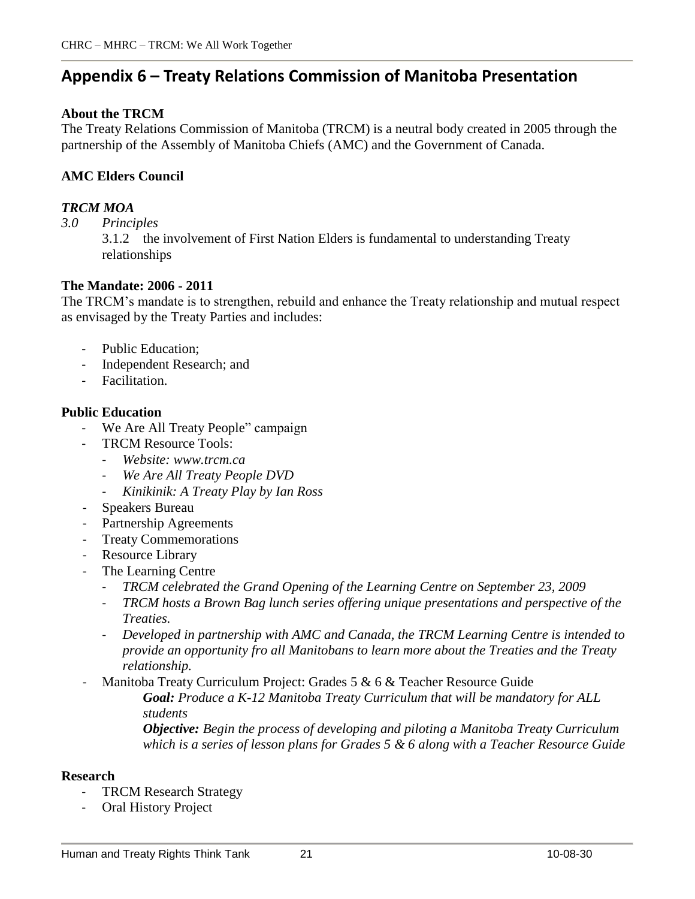# **Appendix 6 ñ Treaty Relations Commission of Manitoba Presentation**

#### **About the TRCM**

The Treaty Relations Commission of Manitoba (TRCM) is a neutral body created in 2005 through the partnership of the Assembly of Manitoba Chiefs (AMC) and the Government of Canada.

#### **AMC Elders Council**

#### *TRCM MOA*

*3.0 Principles*

3.1.2 the involvement of First Nation Elders is fundamental to understanding Treaty relationships

#### **The Mandate: 2006 - 2011**

The TRCM's mandate is to strengthen, rebuild and enhance the Treaty relationship and mutual respect as envisaged by the Treaty Parties and includes:

- Public Education;
- Independent Research; and
- Facilitation.

#### **Public Education**

- We Are All Treaty People" campaign
- TRCM Resource Tools:
	- *Website: [www.trcm.ca](http://www.trcm.ca)*
	- *We Are All Treaty People DVD*
	- *Kinikinik: A Treaty Play by Ian Ross*
- Speakers Bureau
- Partnership Agreements
- Treaty Commemorations
- Resource Library
- The Learning Centre
	- *TRCM celebrated the Grand Opening of the Learning Centre on September 23, 2009*
	- *TRCM hosts a Brown Bag lunch series of ering unique presentations and perspective of the Treaties.*
	- *Developed in partnership with AMC and Canada, the TRCM Learning Centre is intended to provide an opportunity fro all Manitobans to learn more about the Treaties and the Treaty relationship.*

Manitoba Treaty Curriculum Project: Grades 5 & 6 & Teacher Resource Guide

*Goal: Produce a K-12 Manitoba Treaty Curriculum that will be mandatory for ALL students*

*Objective: Begin the process of developing and piloting a Manitoba Treaty Curriculum which is a series of lesson plans for Grades 5 & 6 along with a Teacher Resource Guide*

#### **Research**

- **TRCM Research Strategy**
- Oral History Project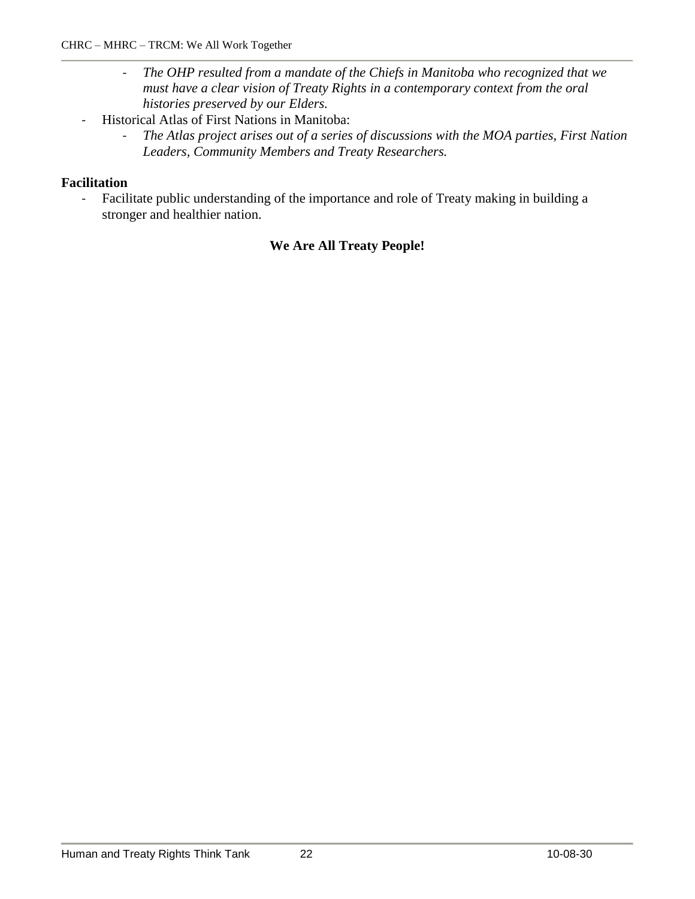- *The OHP resulted from a mandate of the Chiefs in Manitoba who recognized that we must have a clear vision of Treaty Rights in a contemporary context from the oral histories preserved by our Elders.*
- Historical Atlas of First Nations in Manitoba:
	- *The Atlas project arises out of a series of discussions with the MOA parties, First Nation Leaders, Community Members and Treaty Researchers.*

### **Facilitation**

- Facilitate public understanding of the importance and role of Treaty making in building a stronger and healthier nation.

### **We Are All Treaty People!**